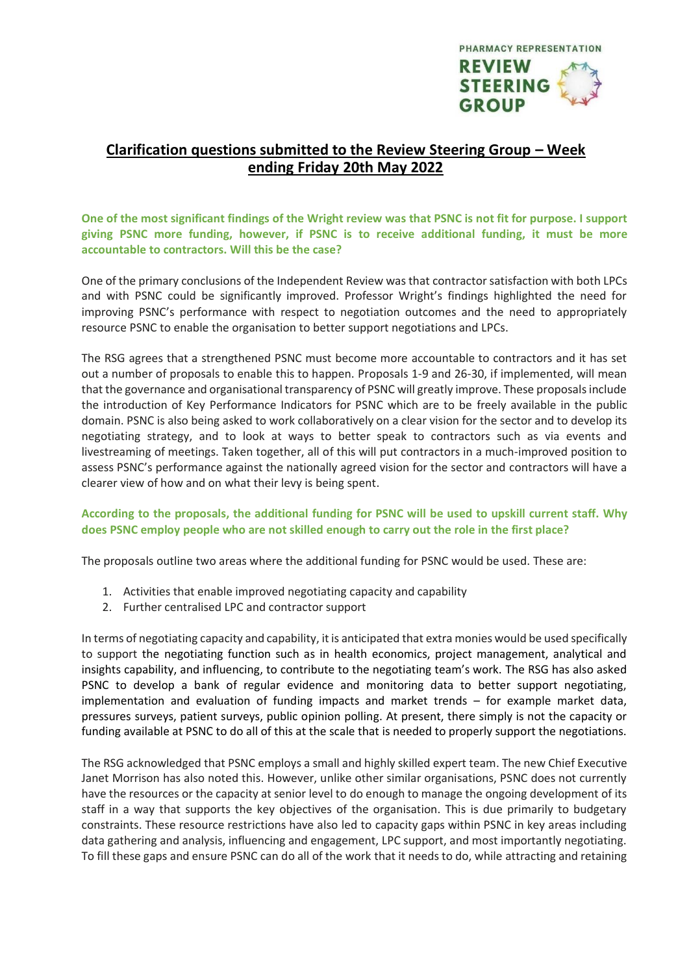

# **Clarification questions submitted to the Review Steering Group – Week ending Friday 20th May 2022**

One of the most significant findings of the Wright review was that PSNC is not fit for purpose. I support **giving PSNC more funding, however, if PSNC is to receive additional funding, it must be more accountable to contractors. Will this be the case?**

One of the primary conclusions of the Independent Review was that contractor satisfaction with both LPCs and with PSNC could be significantly improved. Professor Wright's findings highlighted the need for improving PSNC's performance with respect to negotiation outcomes and the need to appropriately resource PSNC to enable the organisation to better support negotiations and LPCs.

The RSG agrees that a strengthened PSNC must become more accountable to contractors and it has set out a number of proposals to enable this to happen. Proposals 1-9 and 26-30, if implemented, will mean that the governance and organisational transparency of PSNC will greatly improve. These proposals include the introduction of Key Performance Indicators for PSNC which are to be freely available in the public domain. PSNC is also being asked to work collaboratively on a clear vision for the sector and to develop its negotiating strategy, and to look at ways to better speak to contractors such as via events and livestreaming of meetings. Taken together, all of this will put contractors in a much-improved position to assess PSNC's performance against the nationally agreed vision for the sector and contractors will have a clearer view of how and on what their levy is being spent.

## **According to the proposals, the additional funding for PSNC will be used to upskill current staff. Why does PSNC employ people who are not skilled enough to carry out the role in the first place?**

The proposals outline two areas where the additional funding for PSNC would be used. These are:

- 1. Activities that enable improved negotiating capacity and capability
- 2. Further centralised LPC and contractor support

In terms of negotiating capacity and capability, it is anticipated that extra monies would be used specifically to support the negotiating function such as in health economics, project management, analytical and insights capability, and influencing, to contribute to the negotiating team's work. The RSG has also asked PSNC to develop a bank of regular evidence and monitoring data to better support negotiating, implementation and evaluation of funding impacts and market trends – for example market data, pressures surveys, patient surveys, public opinion polling. At present, there simply is not the capacity or funding available at PSNC to do all of this at the scale that is needed to properly support the negotiations.

The RSG acknowledged that PSNC employs a small and highly skilled expert team. The new Chief Executive Janet Morrison has also noted this. However, unlike other similar organisations, PSNC does not currently have the resources or the capacity at senior level to do enough to manage the ongoing development of its staff in a way that supports the key objectives of the organisation. This is due primarily to budgetary constraints. These resource restrictions have also led to capacity gaps within PSNC in key areas including data gathering and analysis, influencing and engagement, LPC support, and most importantly negotiating. To fill these gaps and ensure PSNC can do all of the work that it needs to do, while attracting and retaining